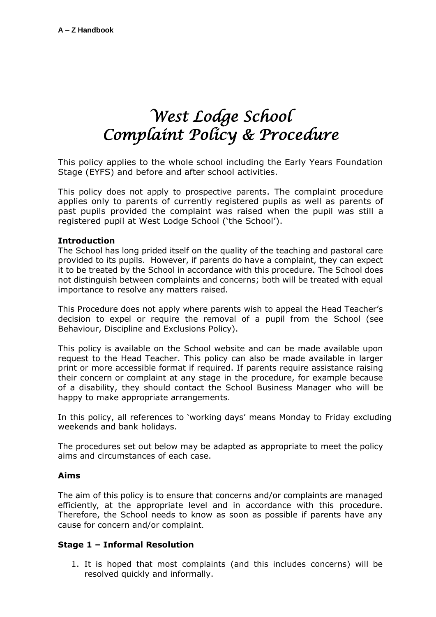# *West Lodge School Complaint Policy & Procedure*

This policy applies to the whole school including the Early Years Foundation Stage (EYFS) and before and after school activities.

This policy does not apply to prospective parents. The complaint procedure applies only to parents of currently registered pupils as well as parents of past pupils provided the complaint was raised when the pupil was still a registered pupil at West Lodge School ('the School').

#### **Introduction**

The School has long prided itself on the quality of the teaching and pastoral care provided to its pupils. However, if parents do have a complaint, they can expect it to be treated by the School in accordance with this procedure. The School does not distinguish between complaints and concerns; both will be treated with equal importance to resolve any matters raised.

This Procedure does not apply where parents wish to appeal the Head Teacher's decision to expel or require the removal of a pupil from the School (see Behaviour, Discipline and Exclusions Policy).

This policy is available on the School website and can be made available upon request to the Head Teacher. This policy can also be made available in larger print or more accessible format if required. If parents require assistance raising their concern or complaint at any stage in the procedure, for example because of a disability, they should contact the School Business Manager who will be happy to make appropriate arrangements.

In this policy, all references to 'working days' means Monday to Friday excluding weekends and bank holidays.

The procedures set out below may be adapted as appropriate to meet the policy aims and circumstances of each case.

## **Aims**

The aim of this policy is to ensure that concerns and/or complaints are managed efficiently, at the appropriate level and in accordance with this procedure. Therefore, the School needs to know as soon as possible if parents have any cause for concern and/or complaint.

## **Stage 1 – Informal Resolution**

1. It is hoped that most complaints (and this includes concerns) will be resolved quickly and informally.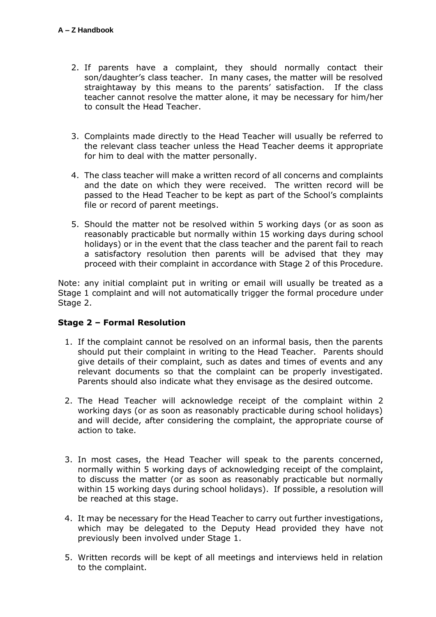- 2. If parents have a complaint, they should normally contact their son/daughter's class teacher. In many cases, the matter will be resolved straightaway by this means to the parents' satisfaction. If the class teacher cannot resolve the matter alone, it may be necessary for him/her to consult the Head Teacher.
- 3. Complaints made directly to the Head Teacher will usually be referred to the relevant class teacher unless the Head Teacher deems it appropriate for him to deal with the matter personally.
- 4. The class teacher will make a written record of all concerns and complaints and the date on which they were received. The written record will be passed to the Head Teacher to be kept as part of the School's complaints file or record of parent meetings.
- 5. Should the matter not be resolved within 5 working days (or as soon as reasonably practicable but normally within 15 working days during school holidays) or in the event that the class teacher and the parent fail to reach a satisfactory resolution then parents will be advised that they may proceed with their complaint in accordance with Stage 2 of this Procedure.

Note: any initial complaint put in writing or email will usually be treated as a Stage 1 complaint and will not automatically trigger the formal procedure under Stage 2.

## **Stage 2 – Formal Resolution**

- 1. If the complaint cannot be resolved on an informal basis, then the parents should put their complaint in writing to the Head Teacher. Parents should give details of their complaint, such as dates and times of events and any relevant documents so that the complaint can be properly investigated. Parents should also indicate what they envisage as the desired outcome.
- 2. The Head Teacher will acknowledge receipt of the complaint within 2 working days (or as soon as reasonably practicable during school holidays) and will decide, after considering the complaint, the appropriate course of action to take.
- 3. In most cases, the Head Teacher will speak to the parents concerned, normally within 5 working days of acknowledging receipt of the complaint, to discuss the matter (or as soon as reasonably practicable but normally within 15 working days during school holidays). If possible, a resolution will be reached at this stage.
- 4. It may be necessary for the Head Teacher to carry out further investigations, which may be delegated to the Deputy Head provided they have not previously been involved under Stage 1.
- 5. Written records will be kept of all meetings and interviews held in relation to the complaint.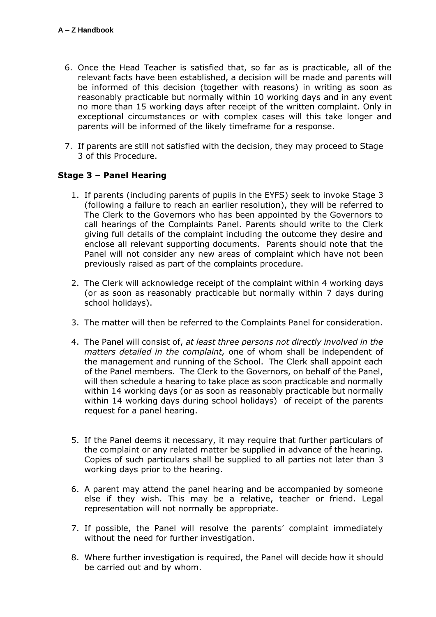- 6. Once the Head Teacher is satisfied that, so far as is practicable, all of the relevant facts have been established, a decision will be made and parents will be informed of this decision (together with reasons) in writing as soon as reasonably practicable but normally within 10 working days and in any event no more than 15 working days after receipt of the written complaint. Only in exceptional circumstances or with complex cases will this take longer and parents will be informed of the likely timeframe for a response.
- 7. If parents are still not satisfied with the decision, they may proceed to Stage 3 of this Procedure.

## **Stage 3 – Panel Hearing**

- 1. If parents (including parents of pupils in the EYFS) seek to invoke Stage 3 (following a failure to reach an earlier resolution), they will be referred to The Clerk to the Governors who has been appointed by the Governors to call hearings of the Complaints Panel. Parents should write to the Clerk giving full details of the complaint including the outcome they desire and enclose all relevant supporting documents. Parents should note that the Panel will not consider any new areas of complaint which have not been previously raised as part of the complaints procedure.
- 2. The Clerk will acknowledge receipt of the complaint within 4 working days (or as soon as reasonably practicable but normally within 7 days during school holidays).
- 3. The matter will then be referred to the Complaints Panel for consideration.
- 4. The Panel will consist of, *at least three persons not directly involved in the matters detailed in the complaint,* one of whom shall be independent of the management and running of the School. The Clerk shall appoint each of the Panel members. The Clerk to the Governors, on behalf of the Panel, will then schedule a hearing to take place as soon practicable and normally within 14 working days (or as soon as reasonably practicable but normally within 14 working days during school holidays) of receipt of the parents request for a panel hearing.
- 5. If the Panel deems it necessary, it may require that further particulars of the complaint or any related matter be supplied in advance of the hearing. Copies of such particulars shall be supplied to all parties not later than 3 working days prior to the hearing.
- 6. A parent may attend the panel hearing and be accompanied by someone else if they wish. This may be a relative, teacher or friend. Legal representation will not normally be appropriate.
- 7. If possible, the Panel will resolve the parents' complaint immediately without the need for further investigation.
- 8. Where further investigation is required, the Panel will decide how it should be carried out and by whom.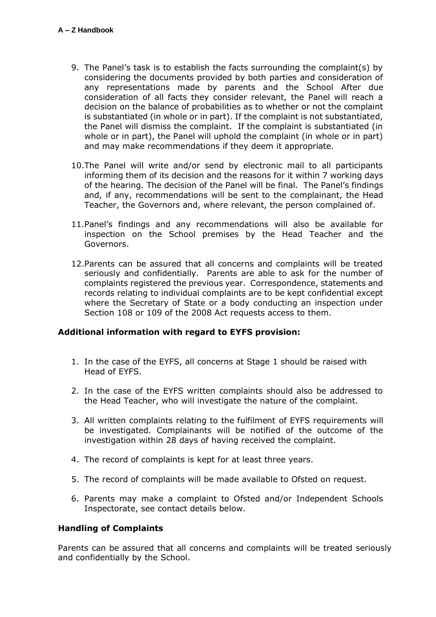- 9. The Panel's task is to establish the facts surrounding the complaint(s) by considering the documents provided by both parties and consideration of any representations made by parents and the School After due consideration of all facts they consider relevant, the Panel will reach a decision on the balance of probabilities as to whether or not the complaint is substantiated (in whole or in part). If the complaint is not substantiated, the Panel will dismiss the complaint. If the complaint is substantiated (in whole or in part), the Panel will uphold the complaint (in whole or in part) and may make recommendations if they deem it appropriate.
- 10.The Panel will write and/or send by electronic mail to all participants informing them of its decision and the reasons for it within 7 working days of the hearing. The decision of the Panel will be final. The Panel's findings and, if any, recommendations will be sent to the complainant, the Head Teacher, the Governors and, where relevant, the person complained of.
- 11.Panel's findings and any recommendations will also be available for inspection on the School premises by the Head Teacher and the Governors.
- 12.Parents can be assured that all concerns and complaints will be treated seriously and confidentially. Parents are able to ask for the number of complaints registered the previous year. Correspondence, statements and records relating to individual complaints are to be kept confidential except where the Secretary of State or a body conducting an inspection under Section 108 or 109 of the 2008 Act requests access to them.

## **Additional information with regard to EYFS provision:**

- 1. In the case of the EYFS, all concerns at Stage 1 should be raised with Head of EYFS.
- 2. In the case of the EYFS written complaints should also be addressed to the Head Teacher, who will investigate the nature of the complaint.
- 3. All written complaints relating to the fulfilment of EYFS requirements will be investigated. Complainants will be notified of the outcome of the investigation within 28 days of having received the complaint.
- 4. The record of complaints is kept for at least three years.
- 5. The record of complaints will be made available to Ofsted on request.
- 6. Parents may make a complaint to Ofsted and/or Independent Schools Inspectorate, see contact details below.

## **Handling of Complaints**

Parents can be assured that all concerns and complaints will be treated seriously and confidentially by the School.